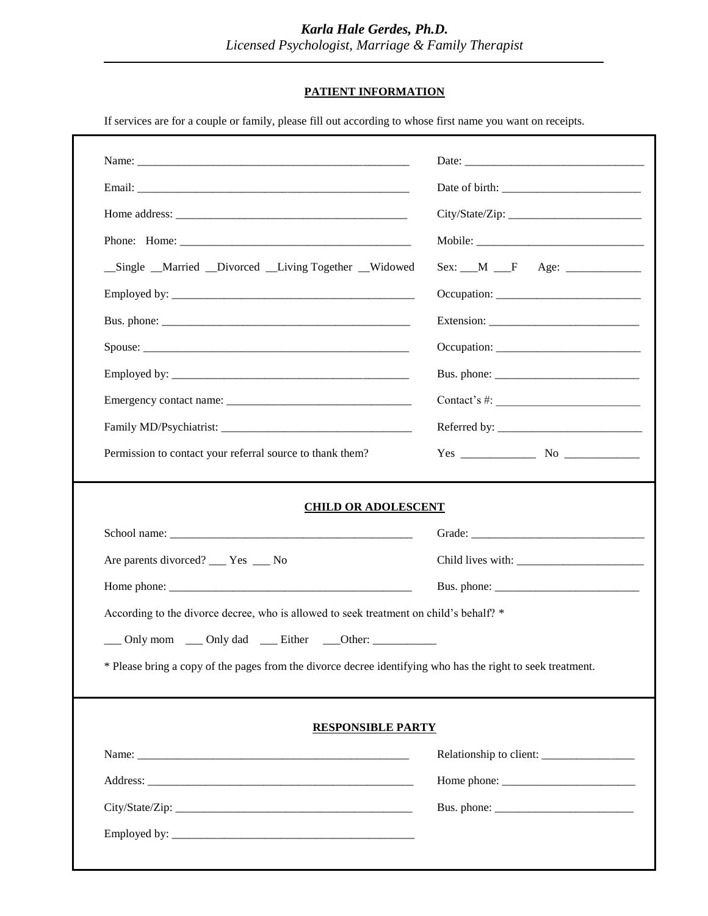# **PATIENT INFORMATION**

If services are for a couple or family, please fill out according to whose first name you want on receipts.

|                                                                                                             | Occupation:                                                                                                                                                                                                                                                                                                                                                                                                                                                  |  |  |
|-------------------------------------------------------------------------------------------------------------|--------------------------------------------------------------------------------------------------------------------------------------------------------------------------------------------------------------------------------------------------------------------------------------------------------------------------------------------------------------------------------------------------------------------------------------------------------------|--|--|
|                                                                                                             |                                                                                                                                                                                                                                                                                                                                                                                                                                                              |  |  |
|                                                                                                             |                                                                                                                                                                                                                                                                                                                                                                                                                                                              |  |  |
| _Single _Married _Divorced _Living Together _Widowed                                                        |                                                                                                                                                                                                                                                                                                                                                                                                                                                              |  |  |
|                                                                                                             |                                                                                                                                                                                                                                                                                                                                                                                                                                                              |  |  |
|                                                                                                             |                                                                                                                                                                                                                                                                                                                                                                                                                                                              |  |  |
|                                                                                                             |                                                                                                                                                                                                                                                                                                                                                                                                                                                              |  |  |
|                                                                                                             |                                                                                                                                                                                                                                                                                                                                                                                                                                                              |  |  |
|                                                                                                             | Contact's #: $\frac{1}{2}$                                                                                                                                                                                                                                                                                                                                                                                                                                   |  |  |
|                                                                                                             |                                                                                                                                                                                                                                                                                                                                                                                                                                                              |  |  |
| Permission to contact your referral source to thank them?                                                   |                                                                                                                                                                                                                                                                                                                                                                                                                                                              |  |  |
| Are parents divorced? ___ Yes ___ No                                                                        |                                                                                                                                                                                                                                                                                                                                                                                                                                                              |  |  |
|                                                                                                             |                                                                                                                                                                                                                                                                                                                                                                                                                                                              |  |  |
|                                                                                                             |                                                                                                                                                                                                                                                                                                                                                                                                                                                              |  |  |
| According to the divorce decree, who is allowed to seek treatment on child's behalf? *                      |                                                                                                                                                                                                                                                                                                                                                                                                                                                              |  |  |
| ___ Only mom ___ Only dad ___ Either ___Other: ____________                                                 |                                                                                                                                                                                                                                                                                                                                                                                                                                                              |  |  |
| * Please bring a copy of the pages from the divorce decree identifying who has the right to seek treatment. |                                                                                                                                                                                                                                                                                                                                                                                                                                                              |  |  |
|                                                                                                             |                                                                                                                                                                                                                                                                                                                                                                                                                                                              |  |  |
| <b>RESPONSIBLE PARTY</b>                                                                                    |                                                                                                                                                                                                                                                                                                                                                                                                                                                              |  |  |
|                                                                                                             |                                                                                                                                                                                                                                                                                                                                                                                                                                                              |  |  |
|                                                                                                             | Relationship to client: ________________<br>Home phone: $\frac{1}{\sqrt{1-\frac{1}{2}}}\left\{ \frac{1}{2}, \frac{1}{2}, \frac{1}{2}, \frac{1}{2}, \frac{1}{2}, \frac{1}{2}, \frac{1}{2}, \frac{1}{2}, \frac{1}{2}, \frac{1}{2}, \frac{1}{2}, \frac{1}{2}, \frac{1}{2}, \frac{1}{2}, \frac{1}{2}, \frac{1}{2}, \frac{1}{2}, \frac{1}{2}, \frac{1}{2}, \frac{1}{2}, \frac{1}{2}, \frac{1}{2}, \frac{1}{2}, \frac{1}{2}, \frac{1}{2}, \frac{1}{2}, \frac{1}{2$ |  |  |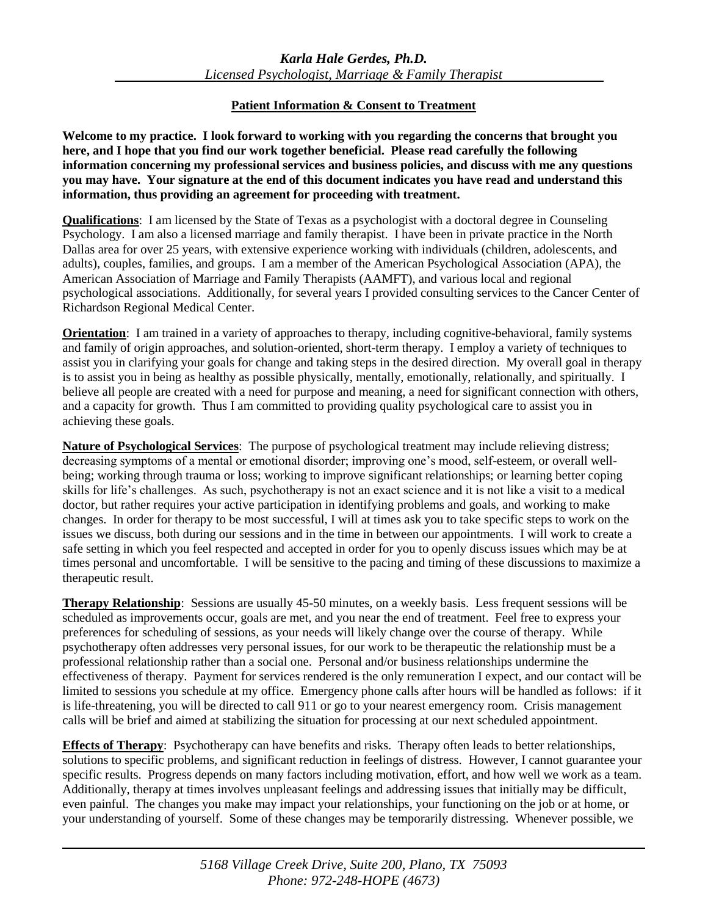## **Patient Information & Consent to Treatment**

**Welcome to my practice. I look forward to working with you regarding the concerns that brought you here, and I hope that you find our work together beneficial. Please read carefully the following information concerning my professional services and business policies, and discuss with me any questions you may have. Your signature at the end of this document indicates you have read and understand this information, thus providing an agreement for proceeding with treatment.**

**Qualifications**: I am licensed by the State of Texas as a psychologist with a doctoral degree in Counseling Psychology. I am also a licensed marriage and family therapist. I have been in private practice in the North Dallas area for over 25 years, with extensive experience working with individuals (children, adolescents, and adults), couples, families, and groups. I am a member of the American Psychological Association (APA), the American Association of Marriage and Family Therapists (AAMFT), and various local and regional psychological associations. Additionally, for several years I provided consulting services to the Cancer Center of Richardson Regional Medical Center.

**Orientation**: I am trained in a variety of approaches to therapy, including cognitive-behavioral, family systems and family of origin approaches, and solution-oriented, short-term therapy. I employ a variety of techniques to assist you in clarifying your goals for change and taking steps in the desired direction. My overall goal in therapy is to assist you in being as healthy as possible physically, mentally, emotionally, relationally, and spiritually. I believe all people are created with a need for purpose and meaning, a need for significant connection with others, and a capacity for growth. Thus I am committed to providing quality psychological care to assist you in achieving these goals.

**Nature of Psychological Services**: The purpose of psychological treatment may include relieving distress; decreasing symptoms of a mental or emotional disorder; improving one's mood, self-esteem, or overall wellbeing; working through trauma or loss; working to improve significant relationships; or learning better coping skills for life's challenges. As such, psychotherapy is not an exact science and it is not like a visit to a medical doctor, but rather requires your active participation in identifying problems and goals, and working to make changes. In order for therapy to be most successful, I will at times ask you to take specific steps to work on the issues we discuss, both during our sessions and in the time in between our appointments. I will work to create a safe setting in which you feel respected and accepted in order for you to openly discuss issues which may be at times personal and uncomfortable. I will be sensitive to the pacing and timing of these discussions to maximize a therapeutic result.

**Therapy Relationship**: Sessions are usually 45-50 minutes, on a weekly basis. Less frequent sessions will be scheduled as improvements occur, goals are met, and you near the end of treatment. Feel free to express your preferences for scheduling of sessions, as your needs will likely change over the course of therapy. While psychotherapy often addresses very personal issues, for our work to be therapeutic the relationship must be a professional relationship rather than a social one. Personal and/or business relationships undermine the effectiveness of therapy. Payment for services rendered is the only remuneration I expect, and our contact will be limited to sessions you schedule at my office. Emergency phone calls after hours will be handled as follows: if it is life-threatening, you will be directed to call 911 or go to your nearest emergency room. Crisis management calls will be brief and aimed at stabilizing the situation for processing at our next scheduled appointment.

**Effects of Therapy**: Psychotherapy can have benefits and risks. Therapy often leads to better relationships, solutions to specific problems, and significant reduction in feelings of distress. However, I cannot guarantee your specific results. Progress depends on many factors including motivation, effort, and how well we work as a team. Additionally, therapy at times involves unpleasant feelings and addressing issues that initially may be difficult, even painful. The changes you make may impact your relationships, your functioning on the job or at home, or your understanding of yourself. Some of these changes may be temporarily distressing. Whenever possible, we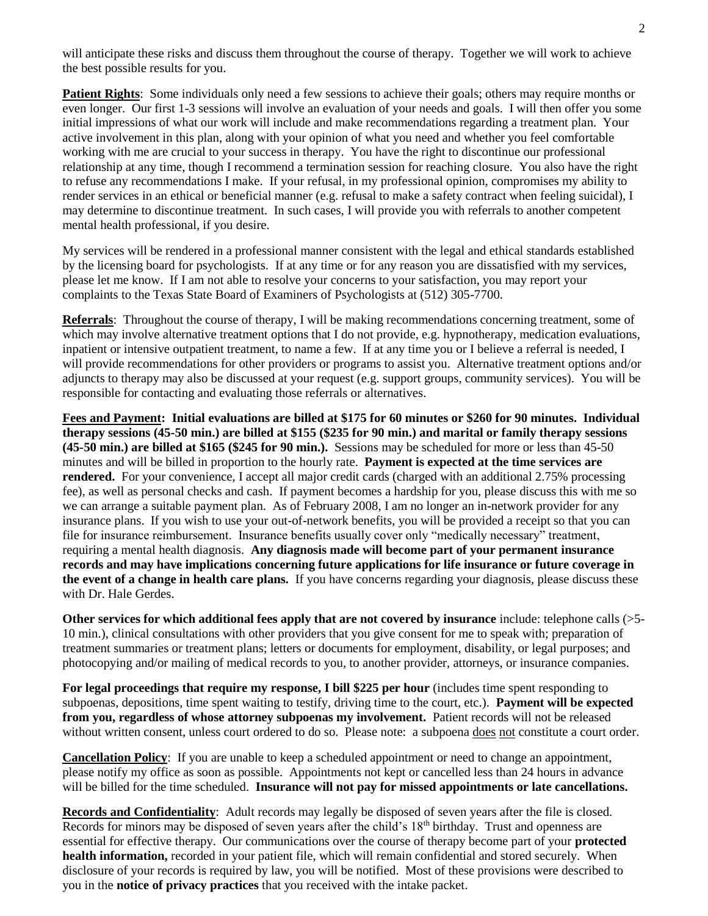will anticipate these risks and discuss them throughout the course of therapy. Together we will work to achieve the best possible results for you.

**Patient Rights**: Some individuals only need a few sessions to achieve their goals; others may require months or even longer. Our first 1-3 sessions will involve an evaluation of your needs and goals. I will then offer you some initial impressions of what our work will include and make recommendations regarding a treatment plan. Your active involvement in this plan, along with your opinion of what you need and whether you feel comfortable working with me are crucial to your success in therapy. You have the right to discontinue our professional relationship at any time, though I recommend a termination session for reaching closure. You also have the right to refuse any recommendations I make. If your refusal, in my professional opinion, compromises my ability to render services in an ethical or beneficial manner (e.g. refusal to make a safety contract when feeling suicidal), I may determine to discontinue treatment. In such cases, I will provide you with referrals to another competent mental health professional, if you desire.

My services will be rendered in a professional manner consistent with the legal and ethical standards established by the licensing board for psychologists. If at any time or for any reason you are dissatisfied with my services, please let me know. If I am not able to resolve your concerns to your satisfaction, you may report your complaints to the Texas State Board of Examiners of Psychologists at (512) 305-7700.

**Referrals**: Throughout the course of therapy, I will be making recommendations concerning treatment, some of which may involve alternative treatment options that I do not provide, e.g. hypnotherapy, medication evaluations, inpatient or intensive outpatient treatment, to name a few. If at any time you or I believe a referral is needed, I will provide recommendations for other providers or programs to assist you. Alternative treatment options and/or adjuncts to therapy may also be discussed at your request (e.g. support groups, community services). You will be responsible for contacting and evaluating those referrals or alternatives.

**Fees and Payment: Initial evaluations are billed at \$175 for 60 minutes or \$260 for 90 minutes. Individual therapy sessions (45-50 min.) are billed at \$155 (\$235 for 90 min.) and marital or family therapy sessions (45-50 min.) are billed at \$165 (\$245 for 90 min.).** Sessions may be scheduled for more or less than 45-50 minutes and will be billed in proportion to the hourly rate. **Payment is expected at the time services are rendered.** For your convenience, I accept all major credit cards (charged with an additional 2.75% processing fee), as well as personal checks and cash. If payment becomes a hardship for you, please discuss this with me so we can arrange a suitable payment plan. As of February 2008, I am no longer an in-network provider for any insurance plans. If you wish to use your out-of-network benefits, you will be provided a receipt so that you can file for insurance reimbursement. Insurance benefits usually cover only "medically necessary" treatment, requiring a mental health diagnosis. **Any diagnosis made will become part of your permanent insurance records and may have implications concerning future applications for life insurance or future coverage in the event of a change in health care plans.** If you have concerns regarding your diagnosis, please discuss these with Dr. Hale Gerdes.

**Other services for which additional fees apply that are not covered by insurance** include: telephone calls (>5- 10 min.), clinical consultations with other providers that you give consent for me to speak with; preparation of treatment summaries or treatment plans; letters or documents for employment, disability, or legal purposes; and photocopying and/or mailing of medical records to you, to another provider, attorneys, or insurance companies.

**For legal proceedings that require my response, I bill \$225 per hour** (includes time spent responding to subpoenas, depositions, time spent waiting to testify, driving time to the court, etc.). **Payment will be expected from you, regardless of whose attorney subpoenas my involvement.** Patient records will not be released without written consent, unless court ordered to do so. Please note: a subpoena does not constitute a court order.

**Cancellation Policy**: If you are unable to keep a scheduled appointment or need to change an appointment, please notify my office as soon as possible. Appointments not kept or cancelled less than 24 hours in advance will be billed for the time scheduled. **Insurance will not pay for missed appointments or late cancellations.**

**Records and Confidentiality**: Adult records may legally be disposed of seven years after the file is closed. Records for minors may be disposed of seven years after the child's 18<sup>th</sup> birthday. Trust and openness are essential for effective therapy. Our communications over the course of therapy become part of your **protected health information,** recorded in your patient file, which will remain confidential and stored securely. When disclosure of your records is required by law, you will be notified. Most of these provisions were described to you in the **notice of privacy practices** that you received with the intake packet.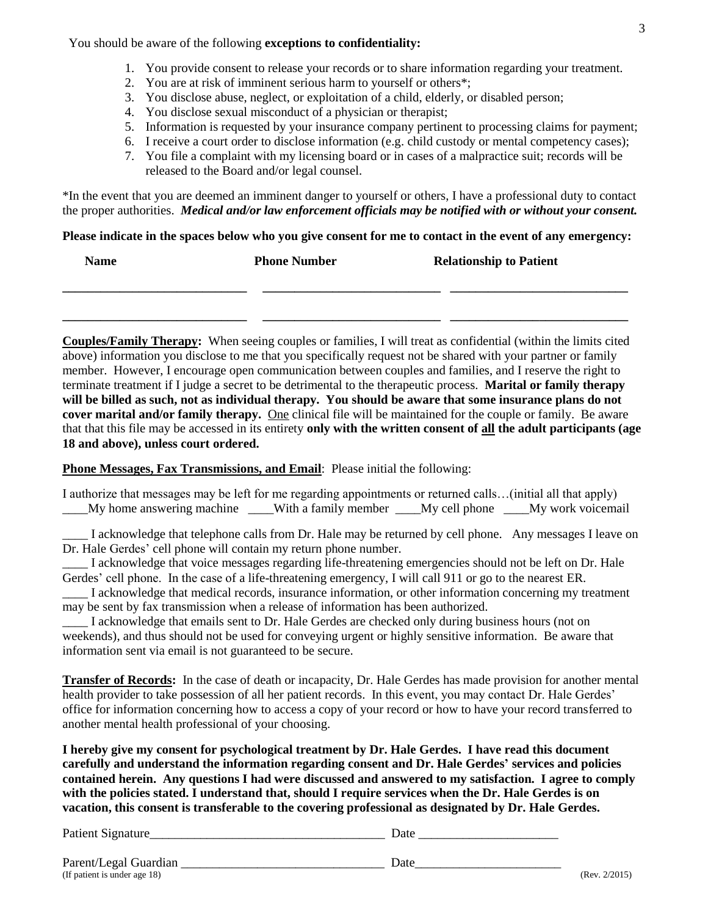You should be aware of the following **exceptions to confidentiality:**

- 1. You provide consent to release your records or to share information regarding your treatment.
- 2. You are at risk of imminent serious harm to yourself or others\*;
- 3. You disclose abuse, neglect, or exploitation of a child, elderly, or disabled person;
- 4. You disclose sexual misconduct of a physician or therapist;
- 5. Information is requested by your insurance company pertinent to processing claims for payment;
- 6. I receive a court order to disclose information (e.g. child custody or mental competency cases);
- 7. You file a complaint with my licensing board or in cases of a malpractice suit; records will be released to the Board and/or legal counsel.

\*In the event that you are deemed an imminent danger to yourself or others, I have a professional duty to contact the proper authorities. *Medical and/or law enforcement officials may be notified with or without your consent.*

**Please indicate in the spaces below who you give consent for me to contact in the event of any emergency:**

| <b>Name</b> | <b>Phone Number</b> | <b>Relationship to Patient</b> |  |
|-------------|---------------------|--------------------------------|--|
|             |                     |                                |  |

**\_\_\_\_\_\_\_\_\_\_\_\_\_\_\_\_\_\_\_\_\_\_\_\_\_\_\_\_\_ \_\_\_\_\_\_\_\_\_\_\_\_\_\_\_\_\_\_\_\_\_\_\_\_\_\_\_\_ \_\_\_\_\_\_\_\_\_\_\_\_\_\_\_\_\_\_\_\_\_\_\_\_\_\_\_\_**

**Couples/Family Therapy:** When seeing couples or families, I will treat as confidential (within the limits cited above) information you disclose to me that you specifically request not be shared with your partner or family member. However, I encourage open communication between couples and families, and I reserve the right to terminate treatment if I judge a secret to be detrimental to the therapeutic process. **Marital or family therapy will be billed as such, not as individual therapy. You should be aware that some insurance plans do not cover marital and/or family therapy.** One clinical file will be maintained for the couple or family. Be aware that that this file may be accessed in its entirety **only with the written consent of all the adult participants (age 18 and above), unless court ordered.**

**Phone Messages, Fax Transmissions, and Email**: Please initial the following:

I authorize that messages may be left for me regarding appointments or returned calls…(initial all that apply) \_\_\_\_My home answering machine \_\_\_\_With a family member \_\_\_\_My cell phone \_\_\_\_My work voicemail

I acknowledge that telephone calls from Dr. Hale may be returned by cell phone. Any messages I leave on Dr. Hale Gerdes' cell phone will contain my return phone number.

\_\_\_\_ I acknowledge that voice messages regarding life-threatening emergencies should not be left on Dr. Hale Gerdes' cell phone. In the case of a life-threatening emergency, I will call 911 or go to the nearest ER.

I acknowledge that medical records, insurance information, or other information concerning my treatment may be sent by fax transmission when a release of information has been authorized.

I acknowledge that emails sent to Dr. Hale Gerdes are checked only during business hours (not on weekends), and thus should not be used for conveying urgent or highly sensitive information. Be aware that information sent via email is not guaranteed to be secure.

**Transfer of Records:** In the case of death or incapacity, Dr. Hale Gerdes has made provision for another mental health provider to take possession of all her patient records. In this event, you may contact Dr. Hale Gerdes' office for information concerning how to access a copy of your record or how to have your record transferred to another mental health professional of your choosing.

**I hereby give my consent for psychological treatment by Dr. Hale Gerdes. I have read this document carefully and understand the information regarding consent and Dr. Hale Gerdes' services and policies contained herein. Any questions I had were discussed and answered to my satisfaction. I agree to comply with the policies stated. I understand that, should I require services when the Dr. Hale Gerdes is on vacation, this consent is transferable to the covering professional as designated by Dr. Hale Gerdes.** 

Patient Signature\_\_\_\_\_\_\_\_\_\_\_\_\_\_\_\_\_\_\_\_\_\_\_\_\_\_\_\_\_\_\_\_\_\_\_\_\_ Date \_\_\_\_\_\_\_\_\_\_\_\_\_\_\_\_\_\_\_\_\_\_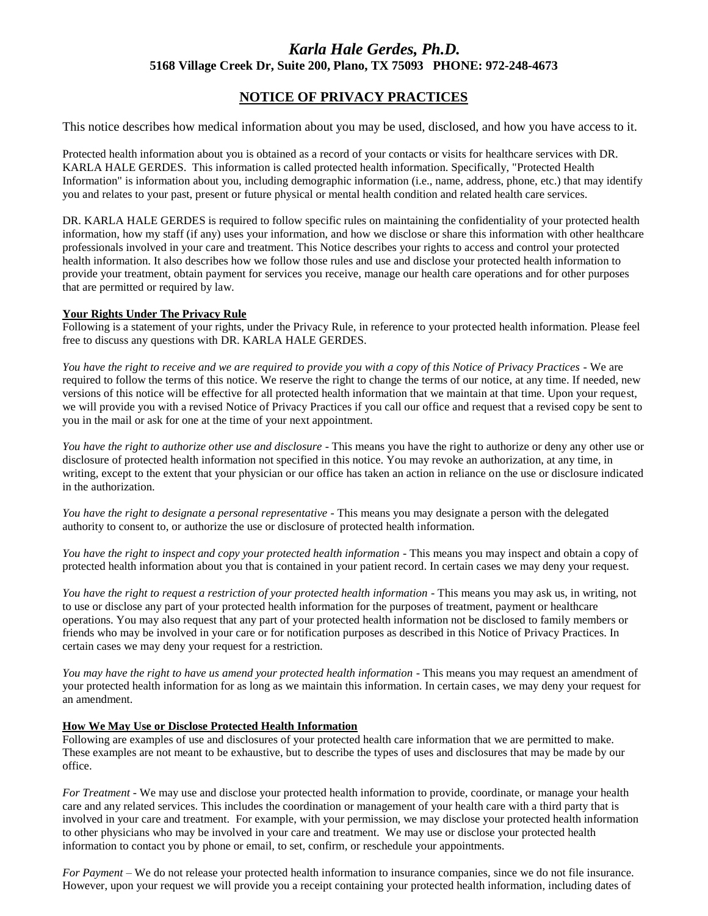## *Karla Hale Gerdes, Ph.D.* **5168 Village Creek Dr, Suite 200, Plano, TX 75093 PHONE: 972-248-4673**

### **NOTICE OF PRIVACY PRACTICES**

This notice describes how medical information about you may be used, disclosed, and how you have access to it.

Protected health information about you is obtained as a record of your contacts or visits for healthcare services with DR. KARLA HALE GERDES. This information is called protected health information. Specifically, "Protected Health Information" is information about you, including demographic information (i.e., name, address, phone, etc.) that may identify you and relates to your past, present or future physical or mental health condition and related health care services.

DR. KARLA HALE GERDES is required to follow specific rules on maintaining the confidentiality of your protected health information, how my staff (if any) uses your information, and how we disclose or share this information with other healthcare professionals involved in your care and treatment. This Notice describes your rights to access and control your protected health information. It also describes how we follow those rules and use and disclose your protected health information to provide your treatment, obtain payment for services you receive, manage our health care operations and for other purposes that are permitted or required by law.

#### **Your Rights Under The Privacy Rule**

Following is a statement of your rights, under the Privacy Rule, in reference to your protected health information. Please feel free to discuss any questions with DR. KARLA HALE GERDES.

*You have the right to receive and we are required to provide you with a copy of this Notice of Privacy Practices -* We are required to follow the terms of this notice. We reserve the right to change the terms of our notice, at any time. If needed, new versions of this notice will be effective for all protected health information that we maintain at that time. Upon your request, we will provide you with a revised Notice of Privacy Practices if you call our office and request that a revised copy be sent to you in the mail or ask for one at the time of your next appointment.

*You have the right to authorize other use and disclosure* - This means you have the right to authorize or deny any other use or disclosure of protected health information not specified in this notice. You may revoke an authorization, at any time, in writing, except to the extent that your physician or our office has taken an action in reliance on the use or disclosure indicated in the authorization.

*You have the right to designate a personal representative -* This means you may designate a person with the delegated authority to consent to, or authorize the use or disclosure of protected health information.

*You have the right to inspect and copy your protected health information -* This means you may inspect and obtain a copy of protected health information about you that is contained in your patient record. In certain cases we may deny your request.

*You have the right to request a restriction of your protected health information -* This means you may ask us, in writing, not to use or disclose any part of your protected health information for the purposes of treatment, payment or healthcare operations. You may also request that any part of your protected health information not be disclosed to family members or friends who may be involved in your care or for notification purposes as described in this Notice of Privacy Practices. In certain cases we may deny your request for a restriction.

*You may have the right to have us amend your protected health information -* This means you may request an amendment of your protected health information for as long as we maintain this information. In certain cases, we may deny your request for an amendment.

#### **How We May Use or Disclose Protected Health Information**

Following are examples of use and disclosures of your protected health care information that we are permitted to make. These examples are not meant to be exhaustive, but to describe the types of uses and disclosures that may be made by our office.

*For Treatment* - We may use and disclose your protected health information to provide, coordinate, or manage your health care and any related services. This includes the coordination or management of your health care with a third party that is involved in your care and treatment. For example, with your permission, we may disclose your protected health information to other physicians who may be involved in your care and treatment. We may use or disclose your protected health information to contact you by phone or email, to set, confirm, or reschedule your appointments.

*For Payment* – We do not release your protected health information to insurance companies, since we do not file insurance. However, upon your request we will provide you a receipt containing your protected health information, including dates of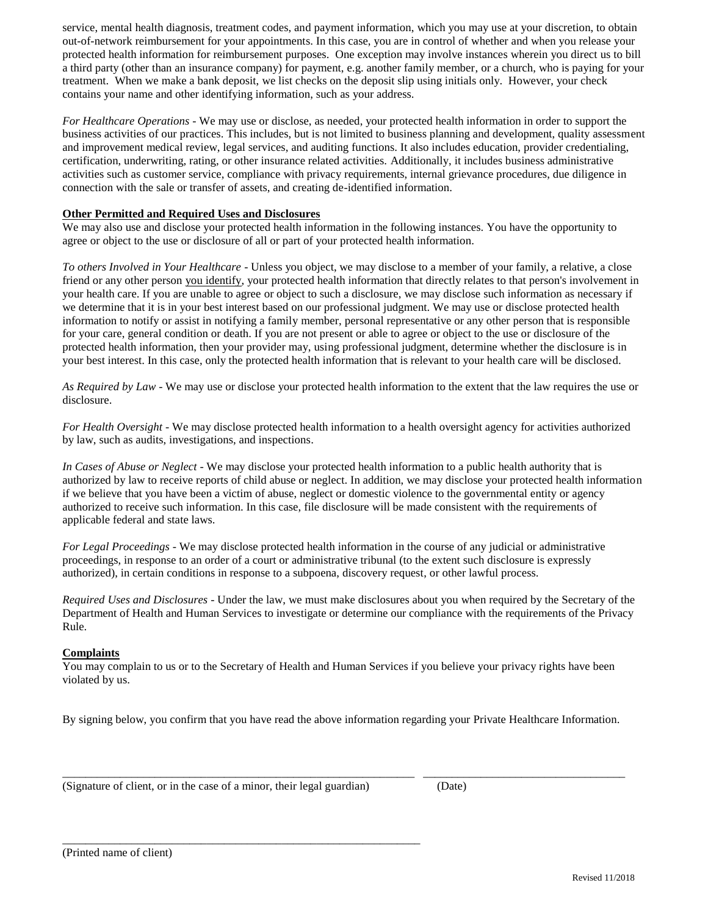service, mental health diagnosis, treatment codes, and payment information, which you may use at your discretion, to obtain out-of-network reimbursement for your appointments. In this case, you are in control of whether and when you release your protected health information for reimbursement purposes. One exception may involve instances wherein you direct us to bill a third party (other than an insurance company) for payment, e.g. another family member, or a church, who is paying for your treatment. When we make a bank deposit, we list checks on the deposit slip using initials only. However, your check contains your name and other identifying information, such as your address.

*For Healthcare Operations* - We may use or disclose, as needed, your protected health information in order to support the business activities of our practices. This includes, but is not limited to business planning and development, quality assessment and improvement medical review, legal services, and auditing functions. It also includes education, provider credentialing, certification, underwriting, rating, or other insurance related activities. Additionally, it includes business administrative activities such as customer service, compliance with privacy requirements, internal grievance procedures, due diligence in connection with the sale or transfer of assets, and creating de-identified information.

### **Other Permitted and Required Uses and Disclosures**

We may also use and disclose your protected health information in the following instances. You have the opportunity to agree or object to the use or disclosure of all or part of your protected health information.

*To others Involved in Your Healthcare* - Unless you object, we may disclose to a member of your family, a relative, a close friend or any other person you identify, your protected health information that directly relates to that person's involvement in your health care. If you are unable to agree or object to such a disclosure, we may disclose such information as necessary if we determine that it is in your best interest based on our professional judgment. We may use or disclose protected health information to notify or assist in notifying a family member, personal representative or any other person that is responsible for your care, general condition or death. If you are not present or able to agree or object to the use or disclosure of the protected health information, then your provider may, using professional judgment, determine whether the disclosure is in your best interest. In this case, only the protected health information that is relevant to your health care will be disclosed.

*As Required by Law* - We may use or disclose your protected health information to the extent that the law requires the use or disclosure.

*For Health Oversight* - We may disclose protected health information to a health oversight agency for activities authorized by law, such as audits, investigations, and inspections.

*In Cases of Abuse or Neglect* - We may disclose your protected health information to a public health authority that is authorized by law to receive reports of child abuse or neglect. In addition, we may disclose your protected health information if we believe that you have been a victim of abuse, neglect or domestic violence to the governmental entity or agency authorized to receive such information. In this case, file disclosure will be made consistent with the requirements of applicable federal and state laws.

*For Legal Proceedings* - We may disclose protected health information in the course of any judicial or administrative proceedings, in response to an order of a court or administrative tribunal (to the extent such disclosure is expressly authorized), in certain conditions in response to a subpoena, discovery request, or other lawful process.

*Required Uses and Disclosures* - Under the law, we must make disclosures about you when required by the Secretary of the Department of Health and Human Services to investigate or determine our compliance with the requirements of the Privacy Rule.

### **Complaints**

You may complain to us or to the Secretary of Health and Human Services if you believe your privacy rights have been violated by us.

By signing below, you confirm that you have read the above information regarding your Private Healthcare Information.

\_\_\_\_\_\_\_\_\_\_\_\_\_\_\_\_\_\_\_\_\_\_\_\_\_\_\_\_\_\_\_\_\_\_\_\_\_\_\_\_\_\_\_\_\_\_\_\_\_\_\_\_\_\_\_\_\_\_\_\_\_ \_\_\_\_\_\_\_\_\_\_\_\_\_\_\_\_\_\_\_\_\_\_\_\_\_\_\_\_\_\_\_\_\_\_\_

(Signature of client, or in the case of a minor, their legal guardian) (Date)

\_\_\_\_\_\_\_\_\_\_\_\_\_\_\_\_\_\_\_\_\_\_\_\_\_\_\_\_\_\_\_\_\_\_\_\_\_\_\_\_\_\_\_\_\_\_\_\_\_\_\_\_\_\_\_\_\_\_\_\_\_\_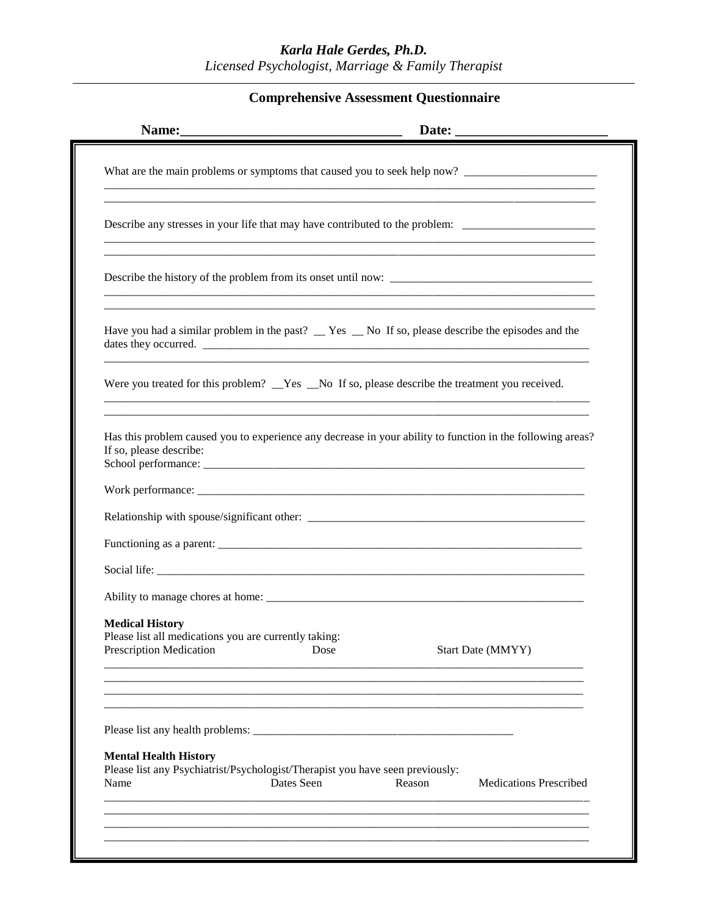# *Karla Hale Gerdes, Ph.D. Licensed Psychologist, Marriage & Family Therapist*

# **Comprehensive Assessment Questionnaire**

| Name:                                                    |                                                                                                |            |        | Date:                                                                                                      |
|----------------------------------------------------------|------------------------------------------------------------------------------------------------|------------|--------|------------------------------------------------------------------------------------------------------------|
|                                                          |                                                                                                |            |        |                                                                                                            |
|                                                          |                                                                                                |            |        | Describe any stresses in your life that may have contributed to the problem: _______________________       |
|                                                          |                                                                                                |            |        |                                                                                                            |
|                                                          |                                                                                                |            |        | Have you had a similar problem in the past? __ Yes __ No If so, please describe the episodes and the       |
|                                                          | Were you treated for this problem? _Yes _No If so, please describe the treatment you received. |            |        |                                                                                                            |
| If so, please describe:                                  |                                                                                                |            |        | Has this problem caused you to experience any decrease in your ability to function in the following areas? |
|                                                          |                                                                                                |            |        |                                                                                                            |
|                                                          |                                                                                                |            |        |                                                                                                            |
|                                                          |                                                                                                |            |        |                                                                                                            |
|                                                          |                                                                                                |            |        |                                                                                                            |
|                                                          |                                                                                                |            |        |                                                                                                            |
| <b>Medical History</b><br><b>Prescription Medication</b> | Please list all medications you are currently taking:                                          | Dose       |        | <b>Start Date (MMYY)</b>                                                                                   |
|                                                          |                                                                                                |            |        |                                                                                                            |
|                                                          |                                                                                                |            |        |                                                                                                            |
|                                                          |                                                                                                |            |        |                                                                                                            |
| <b>Mental Health History</b>                             | Please list any Psychiatrist/Psychologist/Therapist you have seen previously:                  | Dates Seen | Reason | <b>Medications Prescribed</b>                                                                              |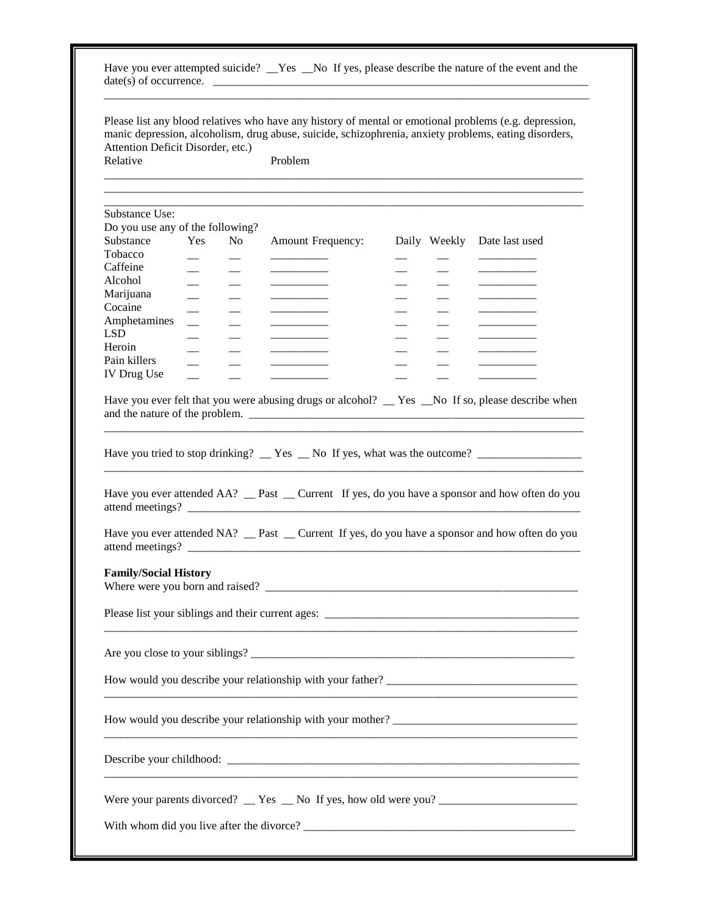| Relative                     | Attention Deficit Disorder, etc.) | Please list any blood relatives who have any history of mental or emotional problems (e.g. depression,<br>manic depression, alcoholism, drug abuse, suicide, schizophrenia, anxiety problems, eating disorders,<br>Problem |                          |                |
|------------------------------|-----------------------------------|----------------------------------------------------------------------------------------------------------------------------------------------------------------------------------------------------------------------------|--------------------------|----------------|
| Substance Use:               |                                   |                                                                                                                                                                                                                            |                          |                |
|                              | Do you use any of the following?  |                                                                                                                                                                                                                            |                          |                |
| Substance                    | Yes<br>No.                        | <b>Amount Frequency:</b>                                                                                                                                                                                                   | Daily Weekly             | Date last used |
| Tobacco                      |                                   |                                                                                                                                                                                                                            |                          |                |
| Caffeine                     |                                   |                                                                                                                                                                                                                            |                          |                |
| Alcohol                      |                                   |                                                                                                                                                                                                                            |                          |                |
| Marijuana                    |                                   |                                                                                                                                                                                                                            |                          |                |
| Cocaine                      |                                   |                                                                                                                                                                                                                            | $\qquad \qquad$          |                |
| Amphetamines                 |                                   |                                                                                                                                                                                                                            | $\overline{\phantom{0}}$ |                |
| <b>LSD</b>                   |                                   |                                                                                                                                                                                                                            |                          |                |
| Heroin                       |                                   |                                                                                                                                                                                                                            |                          |                |
| Pain killers                 |                                   |                                                                                                                                                                                                                            |                          |                |
| <b>IV Drug Use</b>           |                                   |                                                                                                                                                                                                                            |                          |                |
|                              |                                   | Have you ever attended AA? __ Past __ Current If yes, do you have a sponsor and how often do you                                                                                                                           |                          |                |
|                              |                                   | Have you ever attended NA? __ Past __ Current If yes, do you have a sponsor and how often do you                                                                                                                           |                          |                |
|                              |                                   |                                                                                                                                                                                                                            |                          |                |
| <b>Family/Social History</b> |                                   |                                                                                                                                                                                                                            |                          |                |
|                              |                                   |                                                                                                                                                                                                                            |                          |                |
|                              |                                   |                                                                                                                                                                                                                            |                          |                |
|                              |                                   |                                                                                                                                                                                                                            |                          |                |
|                              |                                   |                                                                                                                                                                                                                            |                          |                |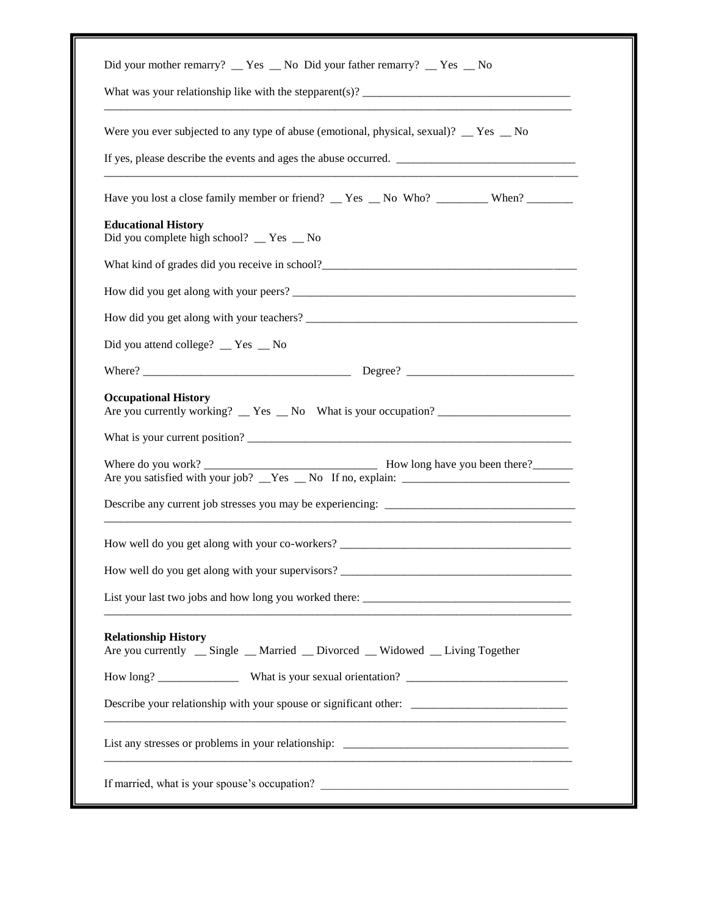| Did your mother remarry? __ Yes __ No Did your father remarry? __ Yes __ No                                     |  |
|-----------------------------------------------------------------------------------------------------------------|--|
|                                                                                                                 |  |
| Were you ever subjected to any type of abuse (emotional, physical, sexual)? $\angle$ Yes $\angle$ No            |  |
|                                                                                                                 |  |
| Have you lost a close family member or friend? __ Yes __ No Who? _________ When? _______                        |  |
| <b>Educational History</b><br>Did you complete high school? __ Yes _ No                                         |  |
|                                                                                                                 |  |
|                                                                                                                 |  |
|                                                                                                                 |  |
| Did you attend college? _ Yes _ No                                                                              |  |
|                                                                                                                 |  |
| Are you currently working? $Y$ es $N_o$ What is your occupation?                                                |  |
|                                                                                                                 |  |
|                                                                                                                 |  |
| How well do you get along with your co-workers? _________________________________                               |  |
|                                                                                                                 |  |
| List your last two jobs and how long you worked there:                                                          |  |
| <b>Relationship History</b><br>Are you currently __ Single __ Married __ Divorced __ Widowed __ Living Together |  |
|                                                                                                                 |  |
| Describe your relationship with your spouse or significant other: __________________________________            |  |
|                                                                                                                 |  |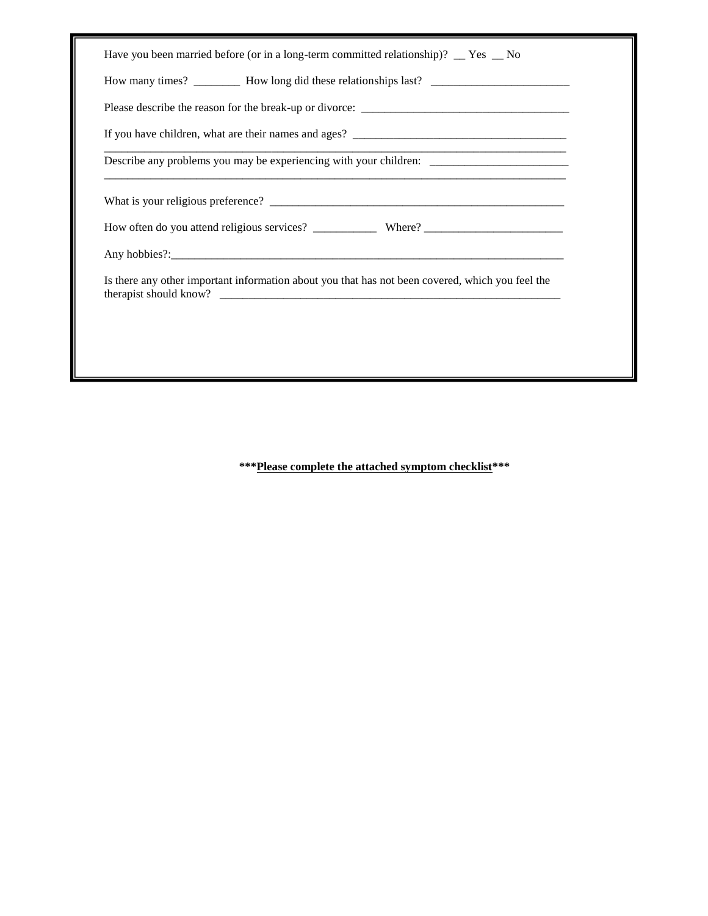| Have you been married before (or in a long-term committed relationship)? $\angle$ Yes $\angle$ No    |
|------------------------------------------------------------------------------------------------------|
| How many times? __________ How long did these relationships last? __________________________________ |
|                                                                                                      |
|                                                                                                      |
| Describe any problems you may be experiencing with your children: _______________                    |
|                                                                                                      |
|                                                                                                      |
|                                                                                                      |
| Is there any other important information about you that has not been covered, which you feel the     |
|                                                                                                      |
|                                                                                                      |
|                                                                                                      |

**\*\*\*Please complete the attached symptom checklist\*\*\***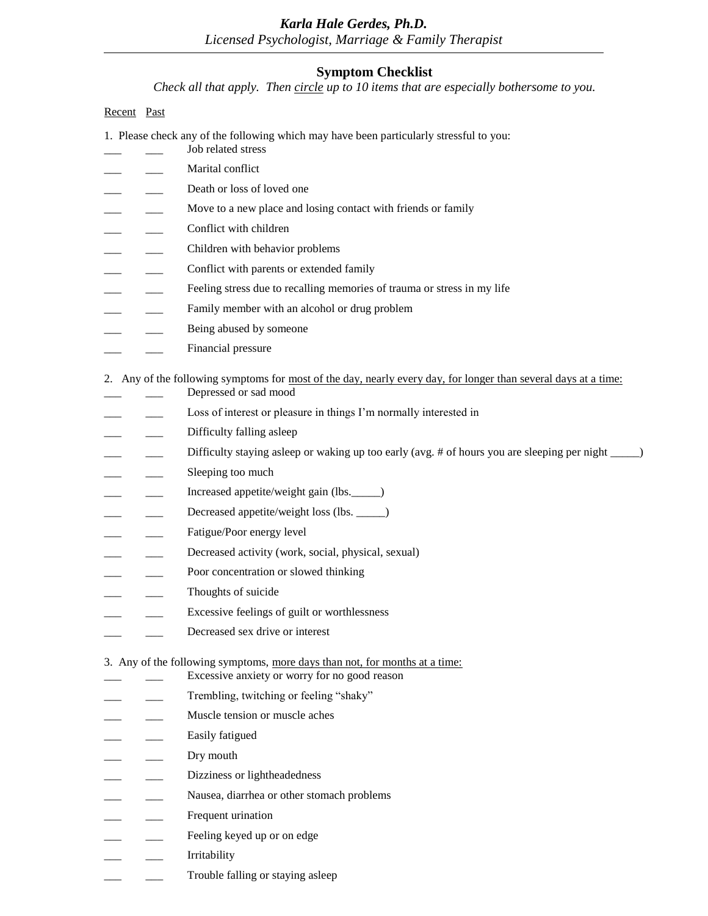### *Karla Hale Gerdes, Ph.D. Licensed Psychologist, Marriage & Family Therapist*

### **Symptom Checklist**

*Check all that apply. Then circle up to 10 items that are especially bothersome to you.*

### Recent Past

- 1. Please check any of the following which may have been particularly stressful to you:
- Marital conflict
- Death or loss of loved one
- \_\_\_ \_\_\_ Move to a new place and losing contact with friends or family
- Conflict with children
- Children with behavior problems

Job related stress

- Conflict with parents or extended family
- Feeling stress due to recalling memories of trauma or stress in my life
- Family member with an alcohol or drug problem
- Being abused by someone
- \_\_\_ \_\_\_ Financial pressure

2. Any of the following symptoms for most of the day, nearly every day, for longer than several days at a time:

- Depressed or sad mood
- Loss of interest or pleasure in things I'm normally interested in
- Difficulty falling asleep
- Difficulty staying asleep or waking up too early (avg. # of hours you are sleeping per night \_\_\_\_)
- Sleeping too much
- Increased appetite/weight gain (lbs.\_\_\_\_)
- Decreased appetite/weight loss (lbs. \_\_\_\_\_)
- Fatigue/Poor energy level
- Decreased activity (work, social, physical, sexual)
- Poor concentration or slowed thinking
- Thoughts of suicide
- Excessive feelings of guilt or worthlessness
- Decreased sex drive or interest

### 3. Any of the following symptoms, more days than not, for months at a time:

- Excessive anxiety or worry for no good reason
- Trembling, twitching or feeling "shaky"
- Muscle tension or muscle aches
- \_\_\_\_\_ Easily fatigued
- Dry mouth
- Dizziness or lightheadedness
- Nausea, diarrhea or other stomach problems
- Frequent urination
- Feeling keyed up or on edge
- \_\_\_ \_\_\_ Irritability
- Trouble falling or staying asleep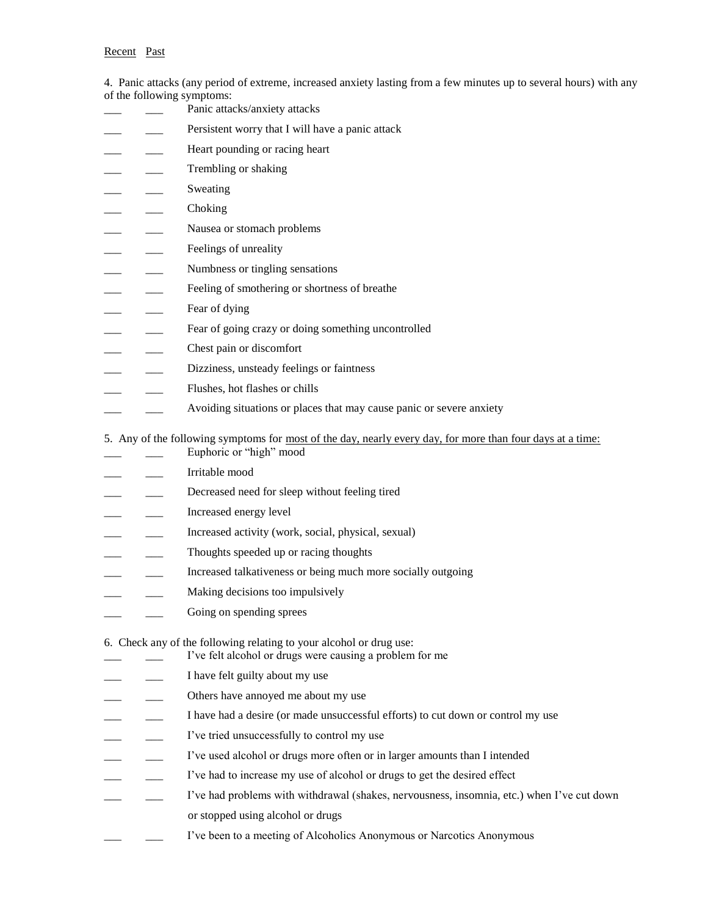4. Panic attacks (any period of extreme, increased anxiety lasting from a few minutes up to several hours) with any of the following symptoms:

|  | Panic attacks/anxiety attacks                                                                                                                |
|--|----------------------------------------------------------------------------------------------------------------------------------------------|
|  | Persistent worry that I will have a panic attack                                                                                             |
|  | Heart pounding or racing heart                                                                                                               |
|  | Trembling or shaking                                                                                                                         |
|  | Sweating                                                                                                                                     |
|  | Choking                                                                                                                                      |
|  | Nausea or stomach problems                                                                                                                   |
|  | Feelings of unreality                                                                                                                        |
|  | Numbness or tingling sensations                                                                                                              |
|  | Feeling of smothering or shortness of breathe                                                                                                |
|  | Fear of dying                                                                                                                                |
|  | Fear of going crazy or doing something uncontrolled                                                                                          |
|  | Chest pain or discomfort                                                                                                                     |
|  | Dizziness, unsteady feelings or faintness                                                                                                    |
|  | Flushes, hot flashes or chills                                                                                                               |
|  | Avoiding situations or places that may cause panic or severe anxiety                                                                         |
|  | 5. Any of the following symptoms for <u>most of the day, nearly every day, for more than four days at a time:</u><br>Euphoric or "high" mood |
|  | Irritable mood                                                                                                                               |
|  | Decreased need for sleep without feeling tired                                                                                               |
|  | Increased energy level                                                                                                                       |
|  | Increased activity (work, social, physical, sexual)                                                                                          |
|  | Thoughts speeded up or racing thoughts                                                                                                       |
|  | Increased talkativeness or being much more socially outgoing                                                                                 |
|  | Making decisions too impulsively                                                                                                             |
|  | Going on spending sprees                                                                                                                     |
|  | 6. Check any of the following relating to your alcohol or drug use:<br>I've felt alcohol or drugs were causing a problem for me              |
|  | I have felt guilty about my use                                                                                                              |
|  | Others have annoyed me about my use                                                                                                          |
|  | I have had a desire (or made unsuccessful efforts) to cut down or control my use                                                             |
|  | I've tried unsuccessfully to control my use                                                                                                  |
|  | I've used alcohol or drugs more often or in larger amounts than I intended                                                                   |
|  | I've had to increase my use of alcohol or drugs to get the desired effect                                                                    |
|  | I've had problems with withdrawal (shakes, nervousness, insomnia, etc.) when I've cut down                                                   |
|  | or stopped using alcohol or drugs                                                                                                            |
|  | I've been to a meeting of Alcoholics Anonymous or Narcotics Anonymous                                                                        |
|  |                                                                                                                                              |